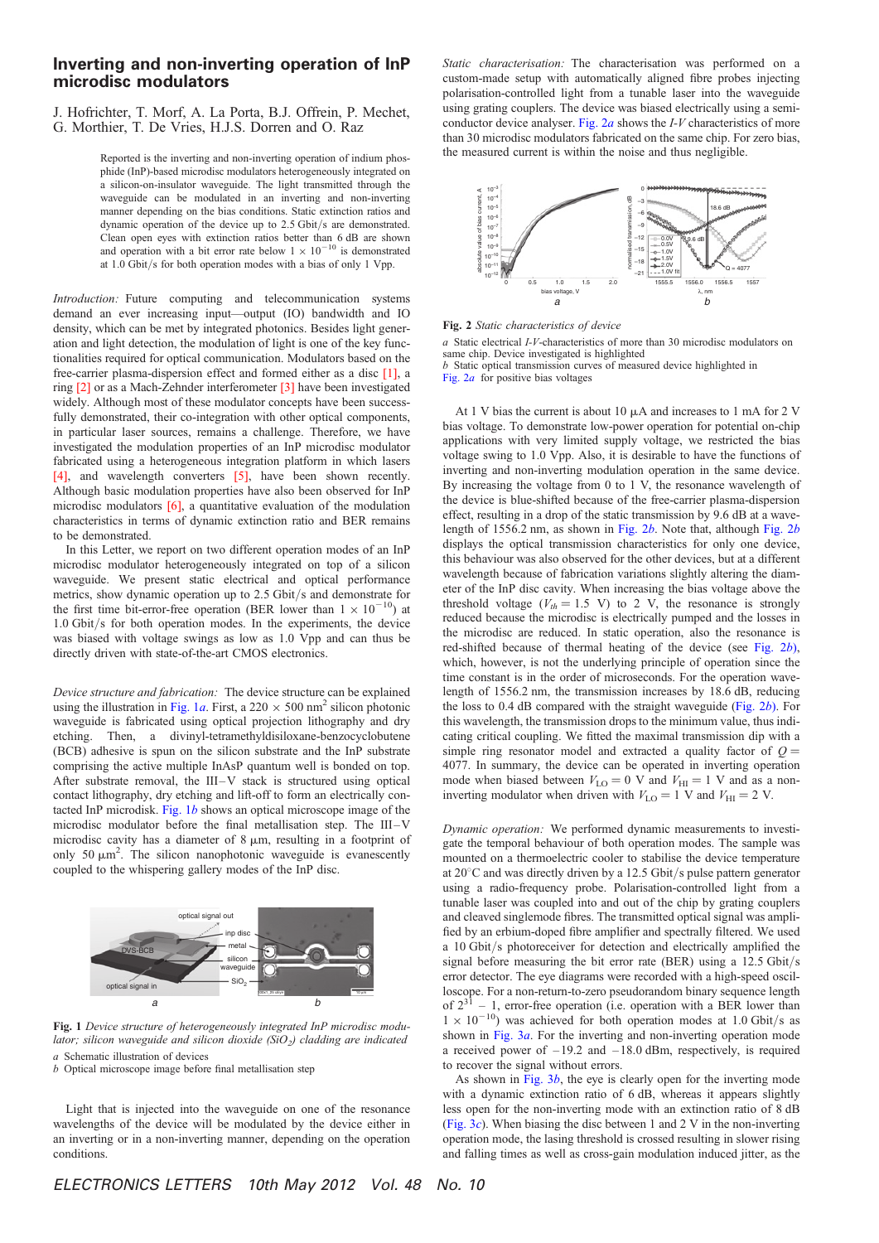## Inverting and non-inverting operation of InP microdisc modulators

J. Hofrichter, T. Morf, A. La Porta, B.J. Offrein, P. Mechet, G. Morthier, T. De Vries, H.J.S. Dorren and O. Raz

> Reported is the inverting and non-inverting operation of indium phosphide (InP)-based microdisc modulators heterogeneously integrated on a silicon-on-insulator waveguide. The light transmitted through the waveguide can be modulated in an inverting and non-inverting manner depending on the bias conditions. Static extinction ratios and dynamic operation of the device up to 2.5 Gbit/s are demonstrated. Clean open eyes with extinction ratios better than 6 dB are shown and operation with a bit error rate below  $1 \times 10^{-10}$  is demonstrated at 1.0 Gbit/s for both operation modes with a bias of only 1 Vpp.

Introduction: Future computing and telecommunication systems demand an ever increasing input—output (IO) bandwidth and IO density, which can be met by integrated photonics. Besides light generation and light detection, the modulation of light is one of the key functionalities required for optical communication. Modulators based on the free-carrier plasma-dispersion effect and formed either as a disc [1], a ring [2] or as a Mach-Zehnder interferometer [3] have been investigated widely. Although most of these modulator concepts have been successfully demonstrated, their co-integration with other optical components, in particular laser sources, remains a challenge. Therefore, we have investigated the modulation properties of an InP microdisc modulator fabricated using a heterogeneous integration platform in which lasers [4], and wavelength converters [5], have been shown recently. Although basic modulation properties have also been observed for InP microdisc modulators [6], a quantitative evaluation of the modulation characteristics in terms of dynamic extinction ratio and BER remains to be demonstrated.

In this Letter, we report on two different operation modes of an InP microdisc modulator heterogeneously integrated on top of a silicon waveguide. We present static electrical and optical performance metrics, show dynamic operation up to 2.5 Gbit/s and demonstrate for the first time bit-error-free operation (BER lower than  $1 \times 10^{-10}$ ) at 1.0 Gbit/s for both operation modes. In the experiments, the device was biased with voltage swings as low as 1.0 Vpp and can thus be directly driven with state-of-the-art CMOS electronics.

Device structure and fabrication: The device structure can be explained using the illustration in Fig. 1a. First, a 220  $\times$  500 nm<sup>2</sup> silicon photonic waveguide is fabricated using optical projection lithography and dry etching. Then, a divinyl-tetramethyldisiloxane-benzocyclobutene (BCB) adhesive is spun on the silicon substrate and the InP substrate comprising the active multiple InAsP quantum well is bonded on top. After substrate removal, the III-V stack is structured using optical contact lithography, dry etching and lift-off to form an electrically contacted InP microdisk. Fig.  $1b$  shows an optical microscope image of the microdisc modulator before the final metallisation step. The III-V microdisc cavity has a diameter of  $8 \mu m$ , resulting in a footprint of only 50  $\mu$ m<sup>2</sup>. The silicon nanophotonic waveguide is evanescently coupled to the whispering gallery modes of the InP disc.



Fig. 1 Device structure of heterogeneously integrated InP microdisc modulator; silicon waveguide and silicon dioxide ( $SiO<sub>2</sub>$ ) cladding are indicated a Schematic illustration of devices

b Optical microscope image before final metallisation step

Light that is injected into the waveguide on one of the resonance wavelengths of the device will be modulated by the device either in an inverting or in a non-inverting manner, depending on the operation conditions.

Static characterisation: The characterisation was performed on a custom-made setup with automatically aligned fibre probes injecting polarisation-controlled light from a tunable laser into the waveguide using grating couplers. The device was biased electrically using a semiconductor device analyser. Fig. 2a shows the I-V characteristics of more than 30 microdisc modulators fabricated on the same chip. For zero bias, the measured current is within the noise and thus negligible.



Fig. 2 Static characteristics of device

a Static electrical I-V-characteristics of more than 30 microdisc modulators on same chip. Device investigated is highlighted

b Static optical transmission curves of measured device highlighted in Fig.  $2a$  for positive bias voltages

At 1 V bias the current is about 10  $\mu$ A and increases to 1 mA for 2 V bias voltage. To demonstrate low-power operation for potential on-chip applications with very limited supply voltage, we restricted the bias voltage swing to 1.0 Vpp. Also, it is desirable to have the functions of inverting and non-inverting modulation operation in the same device. By increasing the voltage from 0 to 1 V, the resonance wavelength of the device is blue-shifted because of the free-carrier plasma-dispersion effect, resulting in a drop of the static transmission by 9.6 dB at a wavelength of 1556.2 nm, as shown in Fig.  $2b$ . Note that, although Fig.  $2b$ displays the optical transmission characteristics for only one device, this behaviour was also observed for the other devices, but at a different wavelength because of fabrication variations slightly altering the diameter of the InP disc cavity. When increasing the bias voltage above the threshold voltage ( $V_{th} = 1.5$  V) to 2 V, the resonance is strongly reduced because the microdisc is electrically pumped and the losses in the microdisc are reduced. In static operation, also the resonance is red-shifted because of thermal heating of the device (see Fig. 2b), which, however, is not the underlying principle of operation since the time constant is in the order of microseconds. For the operation wavelength of 1556.2 nm, the transmission increases by 18.6 dB, reducing the loss to  $0.4$  dB compared with the straight waveguide (Fig.  $2b$ ). For this wavelength, the transmission drops to the minimum value, thus indicating critical coupling. We fitted the maximal transmission dip with a simple ring resonator model and extracted a quality factor of  $Q =$ 4077. In summary, the device can be operated in inverting operation mode when biased between  $V_{\text{LO}} = 0$  V and  $V_{\text{HI}} = 1$  V and as a noninverting modulator when driven with  $V_{\text{LO}} = 1$  V and  $V_{\text{HI}} = 2$  V.

Dynamic operation: We performed dynamic measurements to investigate the temporal behaviour of both operation modes. The sample was mounted on a thermoelectric cooler to stabilise the device temperature at  $20^{\circ}$ C and was directly driven by a 12.5 Gbit/s pulse pattern generator using a radio-frequency probe. Polarisation-controlled light from a tunable laser was coupled into and out of the chip by grating couplers and cleaved singlemode fibres. The transmitted optical signal was amplified by an erbium-doped fibre amplifier and spectrally filtered. We used a 10 Gbit/s photoreceiver for detection and electrically amplified the signal before measuring the bit error rate (BER) using a 12.5 Gbit/s error detector. The eye diagrams were recorded with a high-speed oscilloscope. For a non-return-to-zero pseudorandom binary sequence length of  $2^{31} - 1$ , error-free operation (i.e. operation with a BER lower than  $-1$ , error-free operation (i.e. operation with a BER lower than  $1 \times 10^{-10}$ ) was achieved for both operation modes at 1.0 Gbit/s as shown in Fig. 3*a*. For the inverting and non-inverting operation mode a received power of  $-19.2$  and  $-18.0$  dBm, respectively, is required to recover the signal without errors.

As shown in Fig.  $3b$ , the eye is clearly open for the inverting mode with a dynamic extinction ratio of 6 dB, whereas it appears slightly less open for the non-inverting mode with an extinction ratio of 8 dB (Fig.  $3c$ ). When biasing the disc between 1 and 2 V in the non-inverting operation mode, the lasing threshold is crossed resulting in slower rising and falling times as well as cross-gain modulation induced jitter, as the